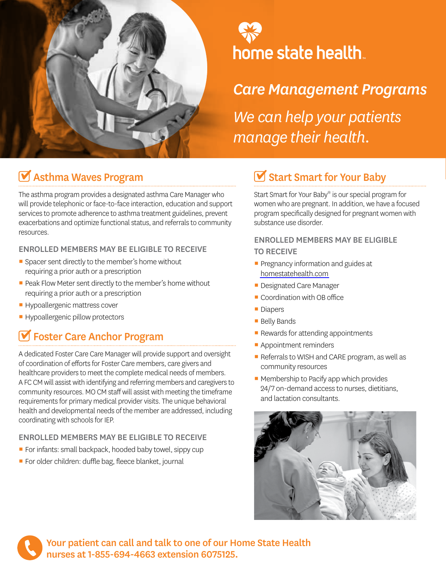

# home state health.

## *Care Management Programs We can help your patients manage their health.*

## Asthma Waves Program

The asthma program provides a designated asthma Care Manager who will provide telephonic or face-to-face interaction, education and support services to promote adherence to asthma treatment guidelines, prevent exacerbations and optimize functional status, and referrals to community resources.

#### ENROLLED MEMBERS MAY BE ELIGIBLE TO RECEIVE

- Spacer sent directly to the member's home without requiring a prior auth or a prescription
- Peak Flow Meter sent directly to the member's home without requiring a prior auth or a prescription
- **E** Hypoallergenic mattress cover
- **EXP** Hypoallergenic pillow protectors

## **M** Foster Care Anchor Program

A dedicated Foster Care Care Manager will provide support and oversight of coordination of efforts for Foster Care members, care givers and healthcare providers to meet the complete medical needs of members. A FC CM will assist with identifying and referring members and caregivers to community resources. MO CM staff will assist with meeting the timeframe requirements for primary medical provider visits. The unique behavioral health and developmental needs of the member are addressed, including coordinating with schools for IEP.

#### ENROLLED MEMBERS MAY BE ELIGIBLE TO RECEIVE

- $\blacksquare$  For infants: small backpack, hooded baby towel, sippy cup
- For older children: duffle bag, fleece blanket, journal

## Start Smart for Your Baby

Start Smart for Your Baby® is our special program for women who are pregnant. In addition, we have a focused program specifically designed for pregnant women with substance use disorder.

#### ENROLLED MEMBERS MAY BE ELIGIBLE TO RECEIVE

- **Pregnancy information and guides at** [homestatehealth.com](http://www.homestatehealth.com)
- **Designated Care Manager**
- Coordination with OB office
- Diapers
- Belly Bands
- Rewards for attending appointments
- **Appointment reminders**
- Referrals to WISH and CARE program, as well as community resources
- Membership to Pacify app which provides 24/7 on-demand access to nurses, dietitians, and lactation consultants.



Your patient can call and talk to one of our Home State Health nurses at 1-855-694-4663 extension 6075125.